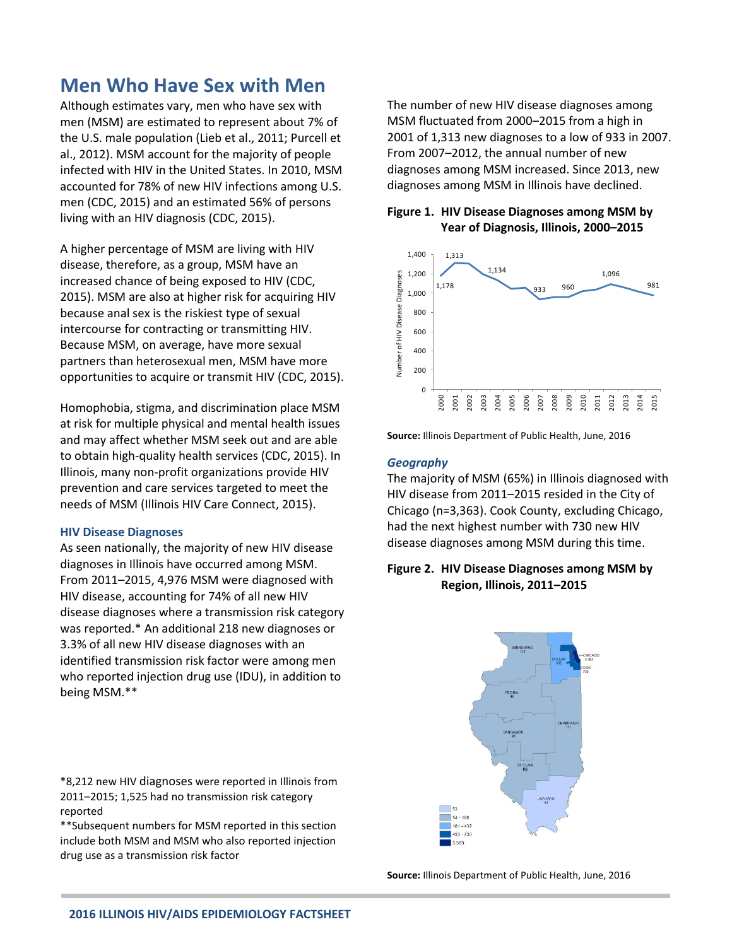# **Men Who Have Sex with Men**

Although estimates vary, men who have sex with men (MSM) are estimated to represent about 7% of the U.S. male population (Lieb et al., 2011; Purcell et al., 2012). MSM account for the majority of people infected with HIV in the United States. In 2010, MSM accounted for 78% of new HIV infections among U.S. men (CDC, 2015) and an estimated 56% of persons living with an HIV diagnosis (CDC, 2015).

A higher percentage of MSM are living with HIV disease, therefore, as a group, MSM have an increased chance of being exposed to HIV (CDC, 2015). MSM are also at higher risk for acquiring HIV because anal sex is the riskiest type of sexual intercourse for contracting or transmitting HIV. Because MSM, on average, have more sexual partners than heterosexual men, MSM have more opportunities to acquire or transmit HIV (CDC, 2015).

Homophobia, stigma, and discrimination place MSM at risk for multiple physical and mental health issues and may affect whether MSM seek out and are able to obtain high-quality health services (CDC, 2015). In Illinois, many non-profit organizations provide HIV prevention and care services targeted to meet the needs of MSM (Illinois HIV Care Connect, 2015).

#### **HIV Disease Diagnoses**

As seen nationally, the majority of new HIV disease diagnoses in Illinois have occurred among MSM. From 2011–2015, 4,976 MSM were diagnosed with HIV disease, accounting for 74% of all new HIV disease diagnoses where a transmission risk category was reported.\* An additional 218 new diagnoses or 3.3% of all new HIV disease diagnoses with an identified transmission risk factor were among men who reported injection drug use (IDU), in addition to being MSM.\*\*

\*8,212 new HIV diagnoses were reported in Illinois from 2011–2015; 1,525 had no transmission risk category reported

\*\*Subsequent numbers for MSM reported in this section include both MSM and MSM who also reported injection drug use as a transmission risk factor

The number of new HIV disease diagnoses among MSM fluctuated from 2000–2015 from a high in 2001 of 1,313 new diagnoses to a low of 933 in 2007. From 2007–2012, the annual number of new diagnoses among MSM increased. Since 2013, new diagnoses among MSM in Illinois have declined.

## **Figure 1. HIV Disease Diagnoses among MSM by Year of Diagnosis, Illinois, 2000–2015**



**Source:** Illinois Department of Public Health, June, 2016

#### *Geography*

The majority of MSM (65%) in Illinois diagnosed with HIV disease from 2011–2015 resided in the City of Chicago (n=3,363). Cook County, excluding Chicago, had the next highest number with 730 new HIV disease diagnoses among MSM during this time.

# **Figure 2. HIV Disease Diagnoses among MSM by Region, Illinois, 2011–2015**



**Source:** Illinois Department of Public Health, June, 2016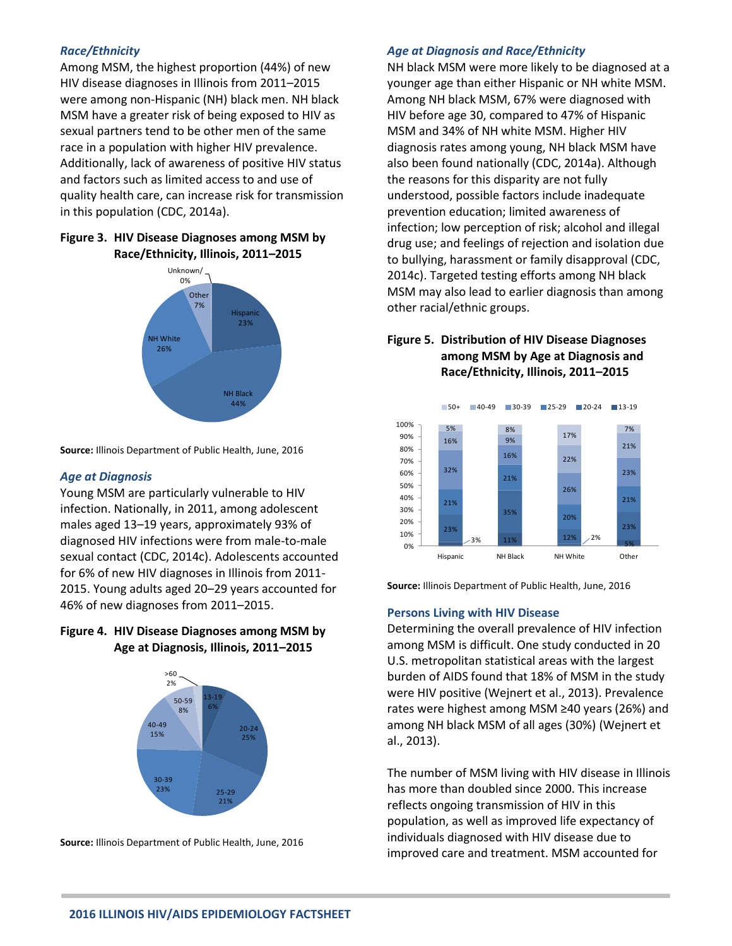## *Race/Ethnicity*

Among MSM, the highest proportion (44%) of new HIV disease diagnoses in Illinois from 2011–2015 were among non-Hispanic (NH) black men. NH black MSM have a greater risk of being exposed to HIV as sexual partners tend to be other men of the same race in a population with higher HIV prevalence. Additionally, lack of awareness of positive HIV status and factors such as limited access to and use of quality health care, can increase risk for transmission in this population (CDC, 2014a).

## **Figure 3. HIV Disease Diagnoses among MSM by Race/Ethnicity, Illinois, 2011–2015**



**Source:** Illinois Department of Public Health, June, 2016

## *Age at Diagnosis*

Young MSM are particularly vulnerable to HIV infection. Nationally, in 2011, among adolescent males aged 13–19 years, approximately 93% of diagnosed HIV infections were from male-to-male sexual contact (CDC, 2014c). Adolescents accounted for 6% of new HIV diagnoses in Illinois from 2011- 2015. Young adults aged 20–29 years accounted for 46% of new diagnoses from 2011–2015.

# **Figure 4. HIV Disease Diagnoses among MSM by Age at Diagnosis, Illinois, 2011–2015**



**Source:** Illinois Department of Public Health, June, 2016

#### *Age at Diagnosis and Race/Ethnicity*

NH black MSM were more likely to be diagnosed at a younger age than either Hispanic or NH white MSM. Among NH black MSM, 67% were diagnosed with HIV before age 30, compared to 47% of Hispanic MSM and 34% of NH white MSM. Higher HIV diagnosis rates among young, NH black MSM have also been found nationally (CDC, 2014a). Although the reasons for this disparity are not fully understood, possible factors include inadequate prevention education; limited awareness of infection; low perception of risk; alcohol and illegal drug use; and feelings of rejection and isolation due to bullying, harassment or family disapproval (CDC, 2014c). Targeted testing efforts among NH black MSM may also lead to earlier diagnosis than among other racial/ethnic groups.

# **Figure 5. Distribution of HIV Disease Diagnoses among MSM by Age at Diagnosis and Race/Ethnicity, Illinois, 2011–2015**



**Source:** Illinois Department of Public Health, June, 2016

#### **Persons Living with HIV Disease**

Determining the overall prevalence of HIV infection among MSM is difficult. One study conducted in 20 U.S. metropolitan statistical areas with the largest burden of AIDS found that 18% of MSM in the study were HIV positive (Wejnert et al., 2013). Prevalence rates were highest among MSM ≥40 years (26%) and among NH black MSM of all ages (30%) (Wejnert et al., 2013).

The number of MSM living with HIV disease in Illinois has more than doubled since 2000. This increase reflects ongoing transmission of HIV in this population, as well as improved life expectancy of individuals diagnosed with HIV disease due to improved care and treatment. MSM accounted for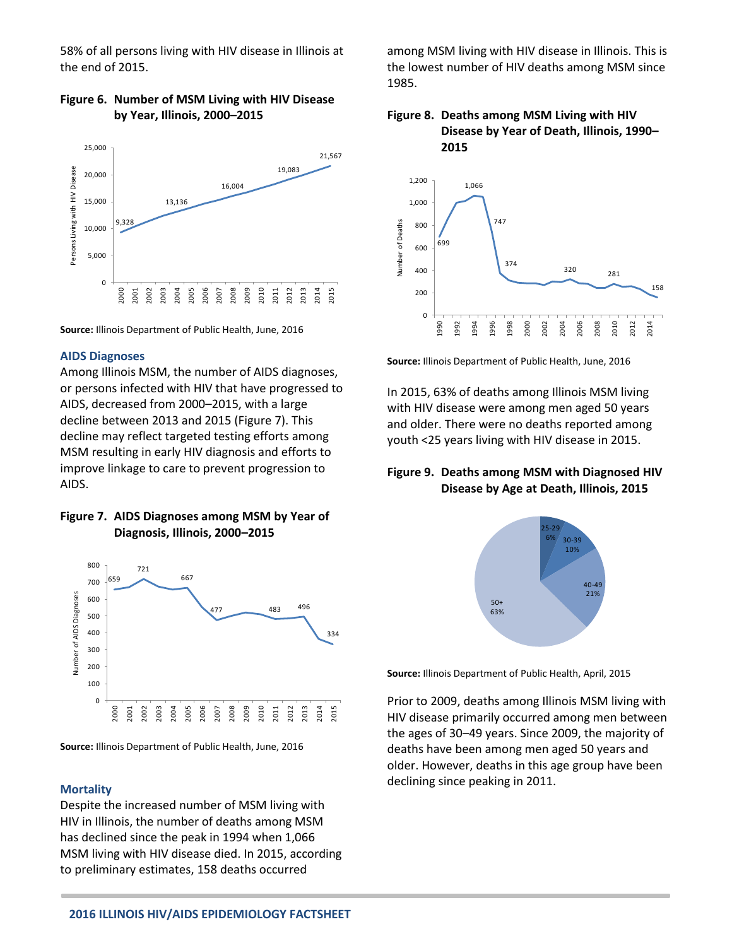58% of all persons living with HIV disease in Illinois at the end of 2015.

# **Figure 6. Number of MSM Living with HIV Disease by Year, Illinois, 2000–2015**



**Source:** Illinois Department of Public Health, June, 2016

### **AIDS Diagnoses**

Among Illinois MSM, the number of AIDS diagnoses, or persons infected with HIV that have progressed to AIDS, decreased from 2000–2015, with a large decline between 2013 and 2015 (Figure 7). This decline may reflect targeted testing efforts among MSM resulting in early HIV diagnosis and efforts to improve linkage to care to prevent progression to AIDS.

# **Figure 7. AIDS Diagnoses among MSM by Year of Diagnosis, Illinois, 2000–2015**



**Source:** Illinois Department of Public Health, June, 2016

#### **Mortality**

Despite the increased number of MSM living with HIV in Illinois, the number of deaths among MSM has declined since the peak in 1994 when 1,066 MSM living with HIV disease died. In 2015, according to preliminary estimates, 158 deaths occurred

among MSM living with HIV disease in Illinois. This is the lowest number of HIV deaths among MSM since 1985.

### **Figure 8. Deaths among MSM Living with HIV Disease by Year of Death, Illinois, 1990– 2015**



**Source:** Illinois Department of Public Health, June, 2016

In 2015, 63% of deaths among Illinois MSM living with HIV disease were among men aged 50 years and older. There were no deaths reported among youth <25 years living with HIV disease in 2015.

# **Figure 9. Deaths among MSM with Diagnosed HIV Disease by Age at Death, Illinois, 2015**



**Source:** Illinois Department of Public Health, April, 2015

Prior to 2009, deaths among Illinois MSM living with HIV disease primarily occurred among men between the ages of 30–49 years. Since 2009, the majority of deaths have been among men aged 50 years and older. However, deaths in this age group have been declining since peaking in 2011.